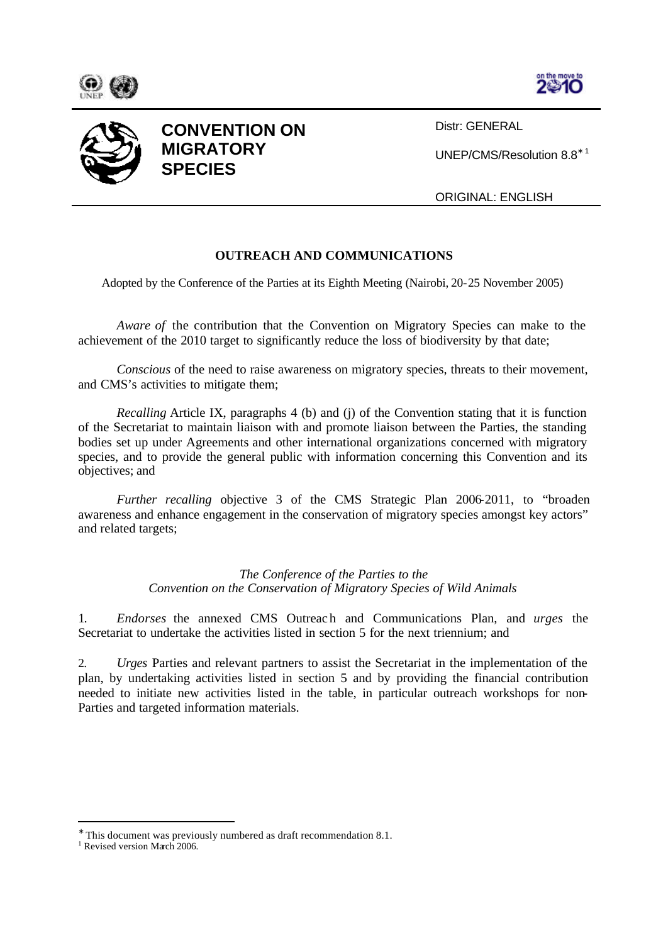





**CONVENTION ON MIGRATORY SPECIES**

Distr: GENERAL

UNEP/CMS/Resolution 8.8<sup>∗</sup> <sup>1</sup>

ORIGINAL: ENGLISH

## **OUTREACH AND COMMUNICATIONS**

Adopted by the Conference of the Parties at its Eighth Meeting (Nairobi, 20-25 November 2005)

*Aware of* the contribution that the Convention on Migratory Species can make to the achievement of the 2010 target to significantly reduce the loss of biodiversity by that date;

*Conscious* of the need to raise awareness on migratory species, threats to their movement, and CMS's activities to mitigate them;

*Recalling* Article IX, paragraphs 4 (b) and (j) of the Convention stating that it is function of the Secretariat to maintain liaison with and promote liaison between the Parties, the standing bodies set up under Agreements and other international organizations concerned with migratory species, and to provide the general public with information concerning this Convention and its objectives; and

*Further recalling* objective 3 of the CMS Strategic Plan 2006-2011, to "broaden awareness and enhance engagement in the conservation of migratory species amongst key actors" and related targets;

> *The Conference of the Parties to the Convention on the Conservation of Migratory Species of Wild Animals*

1. *Endorses* the annexed CMS Outreac h and Communications Plan, and *urges* the Secretariat to undertake the activities listed in section 5 for the next triennium; and

2. *Urges* Parties and relevant partners to assist the Secretariat in the implementation of the plan, by undertaking activities listed in section 5 and by providing the financial contribution needed to initiate new activities listed in the table, in particular outreach workshops for non-Parties and targeted information materials.

<sup>∗</sup> This document was previously numbered as draft recommendation 8.1.

<sup>&</sup>lt;sup>1</sup> Revised version March 2006.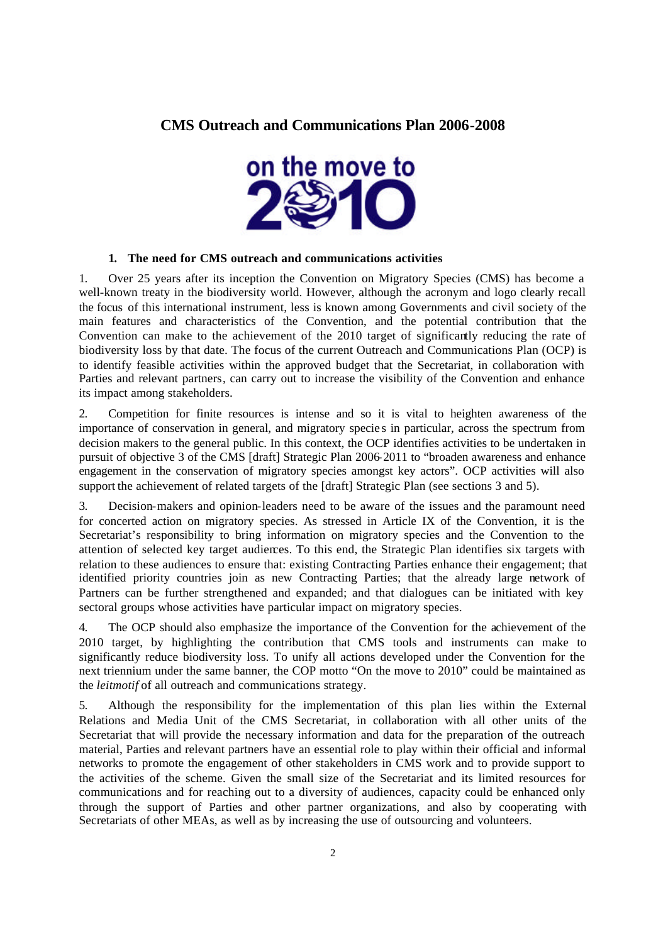# **CMS Outreach and Communications Plan 2006-2008**



#### **1. The need for CMS outreach and communications activities**

1. Over 25 years after its inception the Convention on Migratory Species (CMS) has become a well-known treaty in the biodiversity world. However, although the acronym and logo clearly recall the focus of this international instrument, less is known among Governments and civil society of the main features and characteristics of the Convention, and the potential contribution that the Convention can make to the achievement of the 2010 target of significantly reducing the rate of biodiversity loss by that date. The focus of the current Outreach and Communications Plan (OCP) is to identify feasible activities within the approved budget that the Secretariat, in collaboration with Parties and relevant partners, can carry out to increase the visibility of the Convention and enhance its impact among stakeholders.

2. Competition for finite resources is intense and so it is vital to heighten awareness of the importance of conservation in general, and migratory specie s in particular, across the spectrum from decision makers to the general public. In this context, the OCP identifies activities to be undertaken in pursuit of objective 3 of the CMS [draft] Strategic Plan 2006-2011 to "broaden awareness and enhance engagement in the conservation of migratory species amongst key actors". OCP activities will also support the achievement of related targets of the [draft] Strategic Plan (see sections 3 and 5).

3. Decision-makers and opinion-leaders need to be aware of the issues and the paramount need for concerted action on migratory species. As stressed in Article IX of the Convention, it is the Secretariat's responsibility to bring information on migratory species and the Convention to the attention of selected key target audiences. To this end, the Strategic Plan identifies six targets with relation to these audiences to ensure that: existing Contracting Parties enhance their engagement; that identified priority countries join as new Contracting Parties; that the already large network of Partners can be further strengthened and expanded; and that dialogues can be initiated with key sectoral groups whose activities have particular impact on migratory species.

4. The OCP should also emphasize the importance of the Convention for the achievement of the 2010 target, by highlighting the contribution that CMS tools and instruments can make to significantly reduce biodiversity loss. To unify all actions developed under the Convention for the next triennium under the same banner, the COP motto "On the move to 2010" could be maintained as the *leitmotif* of all outreach and communications strategy.

5. Although the responsibility for the implementation of this plan lies within the External Relations and Media Unit of the CMS Secretariat, in collaboration with all other units of the Secretariat that will provide the necessary information and data for the preparation of the outreach material, Parties and relevant partners have an essential role to play within their official and informal networks to promote the engagement of other stakeholders in CMS work and to provide support to the activities of the scheme. Given the small size of the Secretariat and its limited resources for communications and for reaching out to a diversity of audiences, capacity could be enhanced only through the support of Parties and other partner organizations, and also by cooperating with Secretariats of other MEAs, as well as by increasing the use of outsourcing and volunteers.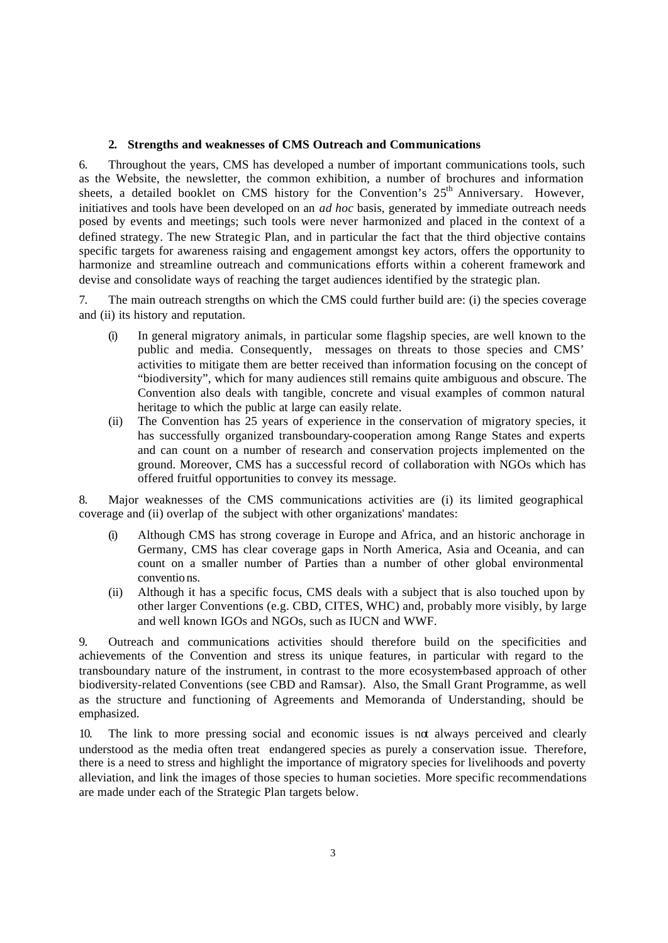#### **2. Strengths and weaknesses of CMS Outreach and Communications**

6. Throughout the years, CMS has developed a number of important communications tools, such as the Website, the newsletter, the common exhibition, a number of brochures and information sheets, a detailed booklet on CMS history for the Convention's  $25<sup>th</sup>$  Anniversary. However, initiatives and tools have been developed on an *ad hoc* basis, generated by immediate outreach needs posed by events and meetings; such tools were never harmonized and placed in the context of a defined strategy. The new Strategic Plan, and in particular the fact that the third objective contains specific targets for awareness raising and engagement amongst key actors, offers the opportunity to harmonize and streamline outreach and communications efforts within a coherent framework and devise and consolidate ways of reaching the target audiences identified by the strategic plan.

7. The main outreach strengths on which the CMS could further build are: (i) the species coverage and (ii) its history and reputation.

- (i) In general migratory animals, in particular some flagship species, are well known to the public and media. Consequently, messages on threats to those species and CMS' activities to mitigate them are better received than information focusing on the concept of "biodiversity", which for many audiences still remains quite ambiguous and obscure. The Convention also deals with tangible, concrete and visual examples of common natural heritage to which the public at large can easily relate.
- (ii) The Convention has 25 years of experience in the conservation of migratory species, it has successfully organized transboundary-cooperation among Range States and experts and can count on a number of research and conservation projects implemented on the ground. Moreover, CMS has a successful record of collaboration with NGOs which has offered fruitful opportunities to convey its message.

8. Major weaknesses of the CMS communications activities are (i) its limited geographical coverage and (ii) overlap of the subject with other organizations' mandates:

- (i) Although CMS has strong coverage in Europe and Africa, and an historic anchorage in Germany, CMS has clear coverage gaps in North America, Asia and Oceania, and can count on a smaller number of Parties than a number of other global environmental conventio ns.
- (ii) Although it has a specific focus, CMS deals with a subject that is also touched upon by other larger Conventions (e.g. CBD, CITES, WHC) and, probably more visibly, by large and well known IGOs and NGOs, such as IUCN and WWF.

9. Outreach and communications activities should therefore build on the specificities and achievements of the Convention and stress its unique features, in particular with regard to the transboundary nature of the instrument, in contrast to the more ecosystem-based approach of other biodiversity-related Conventions (see CBD and Ramsar). Also, the Small Grant Programme, as well as the structure and functioning of Agreements and Memoranda of Understanding, should be emphasized.

10. The link to more pressing social and economic issues is not always perceived and clearly understood as the media often treat endangered species as purely a conservation issue. Therefore, there is a need to stress and highlight the importance of migratory species for livelihoods and poverty alleviation, and link the images of those species to human societies. More specific recommendations are made under each of the Strategic Plan targets below.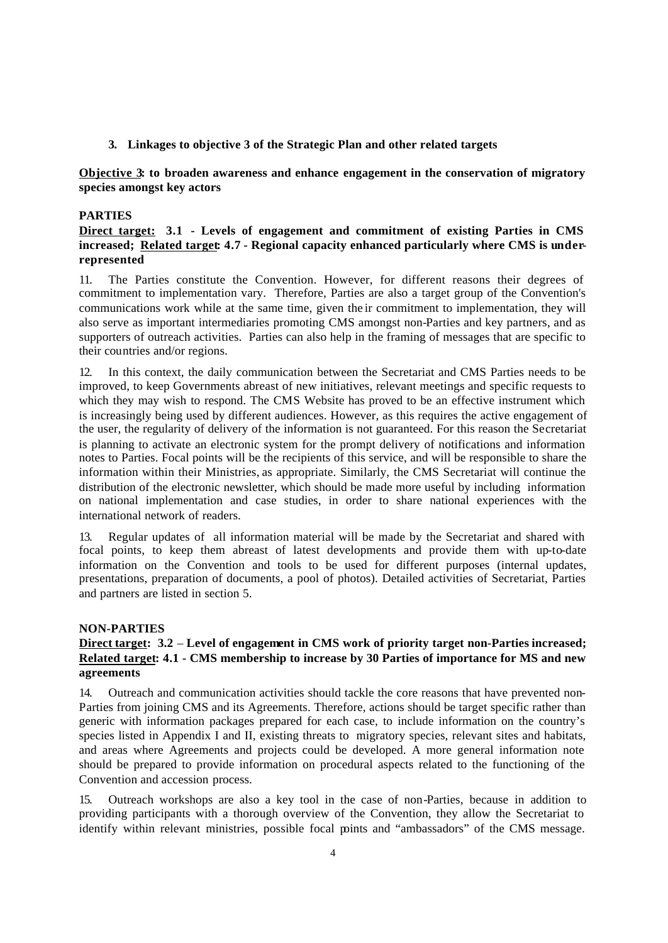#### **3. Linkages to objective 3 of the Strategic Plan and other related targets**

## **Objective 3: to broaden awareness and enhance engagement in the conservation of migratory species amongst key actors**

#### **PARTIES**

## **Direct target: 3.1 - Levels of engagement and commitment of existing Parties in CMS increased; Related target: 4.7 - Regional capacity enhanced particularly where CMS is underrepresented**

11. The Parties constitute the Convention. However, for different reasons their degrees of commitment to implementation vary. Therefore, Parties are also a target group of the Convention's communications work while at the same time, given the ir commitment to implementation, they will also serve as important intermediaries promoting CMS amongst non-Parties and key partners, and as supporters of outreach activities. Parties can also help in the framing of messages that are specific to their countries and/or regions.

12. In this context, the daily communication between the Secretariat and CMS Parties needs to be improved, to keep Governments abreast of new initiatives, relevant meetings and specific requests to which they may wish to respond. The CMS Website has proved to be an effective instrument which is increasingly being used by different audiences. However, as this requires the active engagement of the user, the regularity of delivery of the information is not guaranteed. For this reason the Secretariat is planning to activate an electronic system for the prompt delivery of notifications and information notes to Parties. Focal points will be the recipients of this service, and will be responsible to share the information within their Ministries, as appropriate. Similarly, the CMS Secretariat will continue the distribution of the electronic newsletter, which should be made more useful by including information on national implementation and case studies, in order to share national experiences with the international network of readers.

13. Regular updates of all information material will be made by the Secretariat and shared with focal points, to keep them abreast of latest developments and provide them with up-to-date information on the Convention and tools to be used for different purposes (internal updates, presentations, preparation of documents, a pool of photos). Detailed activities of Secretariat, Parties and partners are listed in section 5.

#### **NON-PARTIES**

## **Direct target: 3.2** – **Level of engagement in CMS work of priority target non-Parties increased; Related target: 4.1 - CMS membership to increase by 30 Parties of importance for MS and new agreements**

14. Outreach and communication activities should tackle the core reasons that have prevented non-Parties from joining CMS and its Agreements. Therefore, actions should be target specific rather than generic with information packages prepared for each case, to include information on the country's species listed in Appendix I and II, existing threats to migratory species, relevant sites and habitats, and areas where Agreements and projects could be developed. A more general information note should be prepared to provide information on procedural aspects related to the functioning of the Convention and accession process.

15. Outreach workshops are also a key tool in the case of non-Parties, because in addition to providing participants with a thorough overview of the Convention, they allow the Secretariat to identify within relevant ministries, possible focal points and "ambassadors" of the CMS message.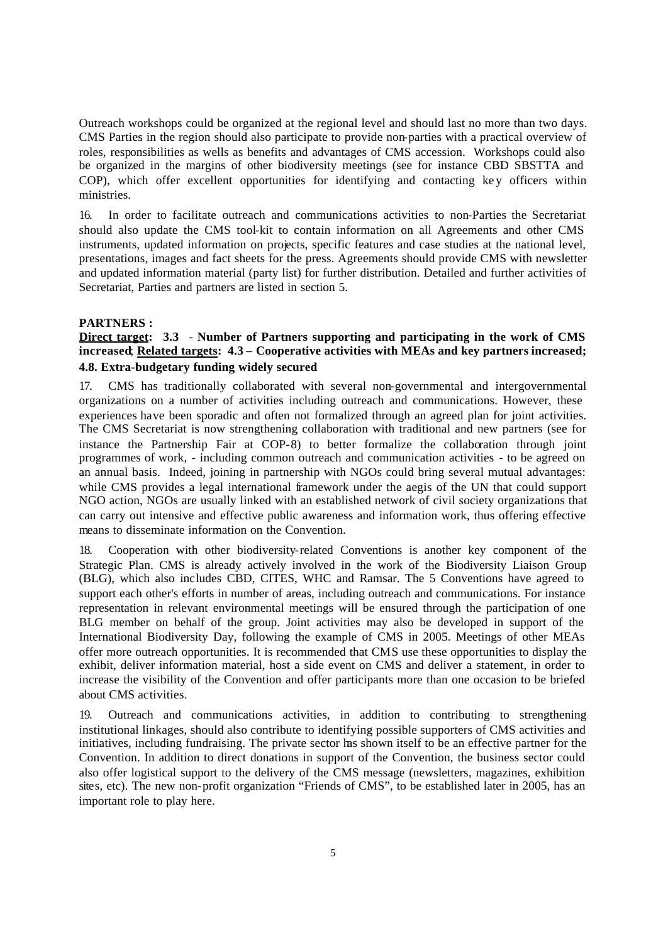Outreach workshops could be organized at the regional level and should last no more than two days. CMS Parties in the region should also participate to provide non-parties with a practical overview of roles, responsibilities as wells as benefits and advantages of CMS accession. Workshops could also be organized in the margins of other biodiversity meetings (see for instance CBD SBSTTA and COP), which offer excellent opportunities for identifying and contacting key officers within ministries.

16. In order to facilitate outreach and communications activities to non-Parties the Secretariat should also update the CMS tool-kit to contain information on all Agreements and other CMS instruments, updated information on projects, specific features and case studies at the national level, presentations, images and fact sheets for the press. Agreements should provide CMS with newsletter and updated information material (party list) for further distribution. Detailed and further activities of Secretariat, Parties and partners are listed in section 5.

#### **PARTNERS :**

## **Direct target: 3.3** - **Number of Partners supporting and participating in the work of CMS increased**; **Related targets: 4.3 – Cooperative activities with MEAs and key partners increased; 4.8. Extra-budgetary funding widely secured**

17. CMS has traditionally collaborated with several non-governmental and intergovernmental organizations on a number of activities including outreach and communications. However, these experiences have been sporadic and often not formalized through an agreed plan for joint activities. The CMS Secretariat is now strengthening collaboration with traditional and new partners (see for instance the Partnership Fair at COP-8) to better formalize the collaboration through joint programmes of work, - including common outreach and communication activities - to be agreed on an annual basis. Indeed, joining in partnership with NGOs could bring several mutual advantages: while CMS provides a legal international framework under the aegis of the UN that could support NGO action, NGOs are usually linked with an established network of civil society organizations that can carry out intensive and effective public awareness and information work, thus offering effective means to disseminate information on the Convention.

18. Cooperation with other biodiversity-related Conventions is another key component of the Strategic Plan. CMS is already actively involved in the work of the Biodiversity Liaison Group (BLG), which also includes CBD, CITES, WHC and Ramsar. The 5 Conventions have agreed to support each other's efforts in number of areas, including outreach and communications. For instance representation in relevant environmental meetings will be ensured through the participation of one BLG member on behalf of the group. Joint activities may also be developed in support of the International Biodiversity Day, following the example of CMS in 2005. Meetings of other MEAs offer more outreach opportunities. It is recommended that CMS use these opportunities to display the exhibit, deliver information material, host a side event on CMS and deliver a statement, in order to increase the visibility of the Convention and offer participants more than one occasion to be briefed about CMS activities.

19. Outreach and communications activities, in addition to contributing to strengthening institutional linkages, should also contribute to identifying possible supporters of CMS activities and initiatives, including fundraising. The private sector has shown itself to be an effective partner for the Convention. In addition to direct donations in support of the Convention, the business sector could also offer logistical support to the delivery of the CMS message (newsletters, magazines, exhibition sites, etc). The new non-profit organization "Friends of CMS", to be established later in 2005, has an important role to play here.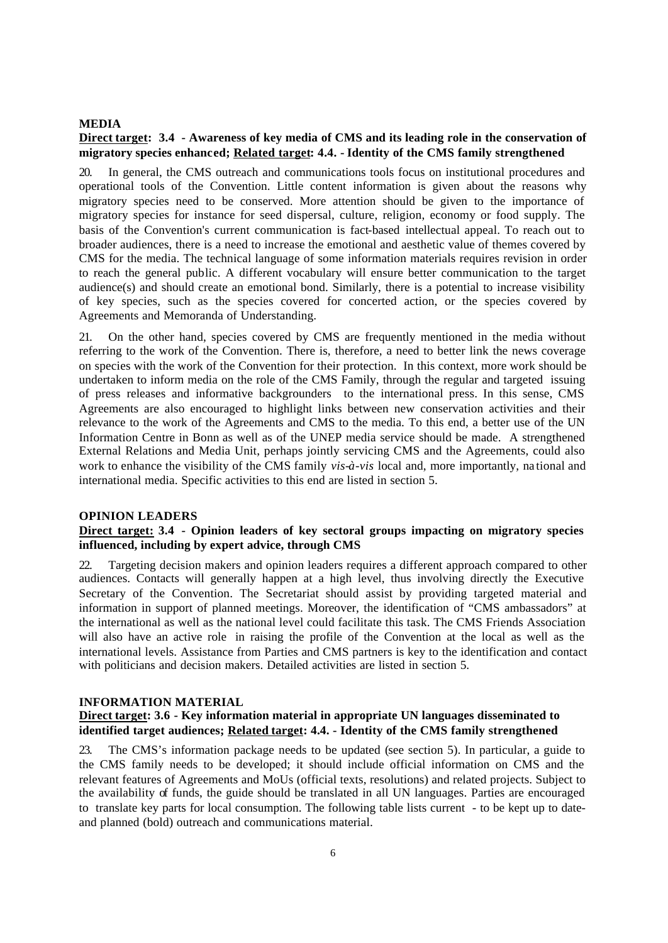#### **MEDIA**

## **Direct target: 3.4 - Awareness of key media of CMS and its leading role in the conservation of migratory species enhanced; Related target: 4.4. - Identity of the CMS family strengthened**

20. In general, the CMS outreach and communications tools focus on institutional procedures and operational tools of the Convention. Little content information is given about the reasons why migratory species need to be conserved. More attention should be given to the importance of migratory species for instance for seed dispersal, culture, religion, economy or food supply. The basis of the Convention's current communication is fact-based intellectual appeal. To reach out to broader audiences, there is a need to increase the emotional and aesthetic value of themes covered by CMS for the media. The technical language of some information materials requires revision in order to reach the general public. A different vocabulary will ensure better communication to the target audience(s) and should create an emotional bond. Similarly, there is a potential to increase visibility of key species, such as the species covered for concerted action, or the species covered by Agreements and Memoranda of Understanding.

21. On the other hand, species covered by CMS are frequently mentioned in the media without referring to the work of the Convention. There is, therefore, a need to better link the news coverage on species with the work of the Convention for their protection. In this context, more work should be undertaken to inform media on the role of the CMS Family, through the regular and targeted issuing of press releases and informative backgrounders to the international press. In this sense, CMS Agreements are also encouraged to highlight links between new conservation activities and their relevance to the work of the Agreements and CMS to the media. To this end, a better use of the UN Information Centre in Bonn as well as of the UNEP media service should be made. A strengthened External Relations and Media Unit, perhaps jointly servicing CMS and the Agreements, could also work to enhance the visibility of the CMS family *vis-à-vis* local and, more importantly, na tional and international media. Specific activities to this end are listed in section 5.

#### **OPINION LEADERS**

#### **Direct target: 3.4 - Opinion leaders of key sectoral groups impacting on migratory species influenced, including by expert advice, through CMS**

22. Targeting decision makers and opinion leaders requires a different approach compared to other audiences. Contacts will generally happen at a high level, thus involving directly the Executive Secretary of the Convention. The Secretariat should assist by providing targeted material and information in support of planned meetings. Moreover, the identification of "CMS ambassadors" at the international as well as the national level could facilitate this task. The CMS Friends Association will also have an active role in raising the profile of the Convention at the local as well as the international levels. Assistance from Parties and CMS partners is key to the identification and contact with politicians and decision makers. Detailed activities are listed in section 5.

#### **INFORMATION MATERIAL**

## **Direct target: 3.6 - Key information material in appropriate UN languages disseminated to identified target audiences; Related target: 4.4. - Identity of the CMS family strengthened**

23. The CMS's information package needs to be updated (see section 5). In particular, a guide to the CMS family needs to be developed; it should include official information on CMS and the relevant features of Agreements and MoUs (official texts, resolutions) and related projects. Subject to the availability of funds, the guide should be translated in all UN languages. Parties are encouraged to translate key parts for local consumption. The following table lists current - to be kept up to dateand planned (bold) outreach and communications material.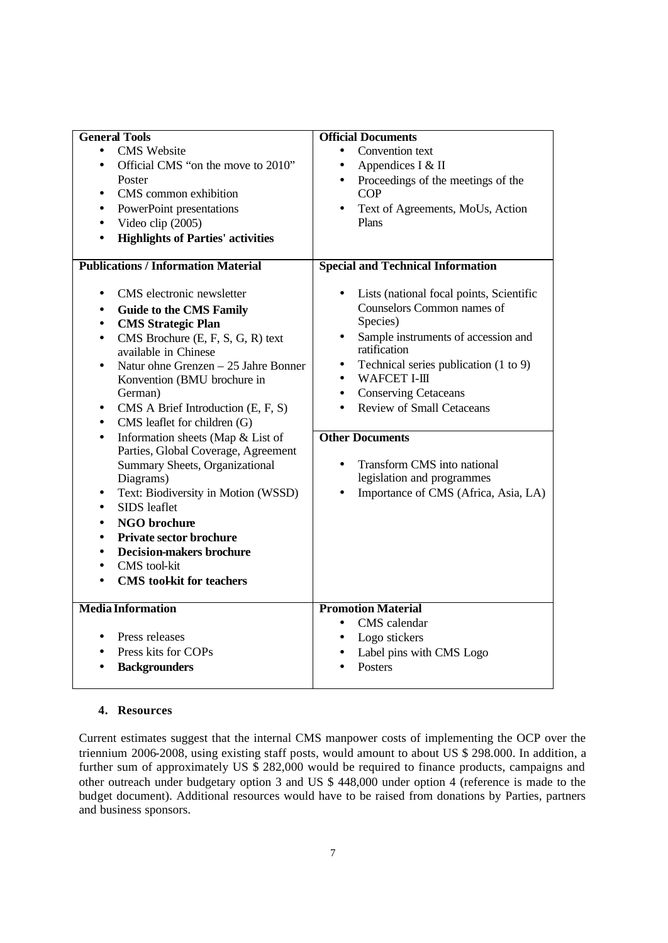| <b>General Tools</b>                              | <b>Official Documents</b>                          |
|---------------------------------------------------|----------------------------------------------------|
| <b>CMS</b> Website<br>$\bullet$                   | Convention text<br>$\bullet$                       |
| Official CMS "on the move to 2010"<br>$\bullet$   | Appendices I & II<br>$\bullet$                     |
| Poster                                            | Proceedings of the meetings of the<br>$\bullet$    |
| CMS common exhibition                             | <b>COP</b>                                         |
| PowerPoint presentations                          | Text of Agreements, MoUs, Action<br>$\bullet$      |
| Video clip (2005)                                 | Plans                                              |
| <b>Highlights of Parties' activities</b>          |                                                    |
|                                                   |                                                    |
| <b>Publications / Information Material</b>        | <b>Special and Technical Information</b>           |
| CMS electronic newsletter<br>٠                    | Lists (national focal points, Scientific           |
| <b>Guide to the CMS Family</b><br>$\bullet$       | Counselors Common names of                         |
| <b>CMS Strategic Plan</b><br>$\bullet$            | Species)                                           |
| CMS Brochure (E, F, S, G, R) text<br>$\bullet$    | Sample instruments of accession and<br>٠           |
| available in Chinese                              | ratification                                       |
| Natur ohne Grenzen – 25 Jahre Bonner<br>$\bullet$ | Technical series publication (1 to 9)<br>$\bullet$ |
| Konvention (BMU brochure in                       | WAFCET I-III<br>$\bullet$                          |
| German)                                           | <b>Conserving Cetaceans</b><br>$\bullet$           |
| CMS A Brief Introduction (E, F, S)                | <b>Review of Small Cetaceans</b><br>$\bullet$      |
| CMS leaflet for children (G)<br>$\bullet$         |                                                    |
| Information sheets (Map & List of<br>$\bullet$    | <b>Other Documents</b>                             |
| Parties, Global Coverage, Agreement               |                                                    |
| Summary Sheets, Organizational                    | Transform CMS into national<br>$\bullet$           |
| Diagrams)                                         | legislation and programmes                         |
| Text: Biodiversity in Motion (WSSD)<br>$\bullet$  | Importance of CMS (Africa, Asia, LA)<br>$\bullet$  |
| SIDS leaflet                                      |                                                    |
| <b>NGO</b> brochure                               |                                                    |
| <b>Private sector brochure</b>                    |                                                    |
| <b>Decision-makers brochure</b>                   |                                                    |
| CMS tool-kit                                      |                                                    |
| <b>CMS</b> toolkit for teachers                   |                                                    |
|                                                   |                                                    |
| <b>Media Information</b>                          | <b>Promotion Material</b>                          |
|                                                   | CMS calendar<br>$\bullet$                          |
| Press releases<br>$\bullet$                       | Logo stickers<br>$\bullet$                         |
| Press kits for COPs                               | Label pins with CMS Logo                           |
| <b>Backgrounders</b>                              | Posters<br>$\bullet$                               |
|                                                   |                                                    |

## **4. Resources**

Current estimates suggest that the internal CMS manpower costs of implementing the OCP over the triennium 2006-2008, using existing staff posts, would amount to about US \$ 298.000. In addition, a further sum of approximately US  $\frac{5}{9}$  282,000 would be required to finance products, campaigns and other outreach under budgetary option 3 and US \$ 448,000 under option 4 (reference is made to the budget document). Additional resources would have to be raised from donations by Parties, partners and business sponsors.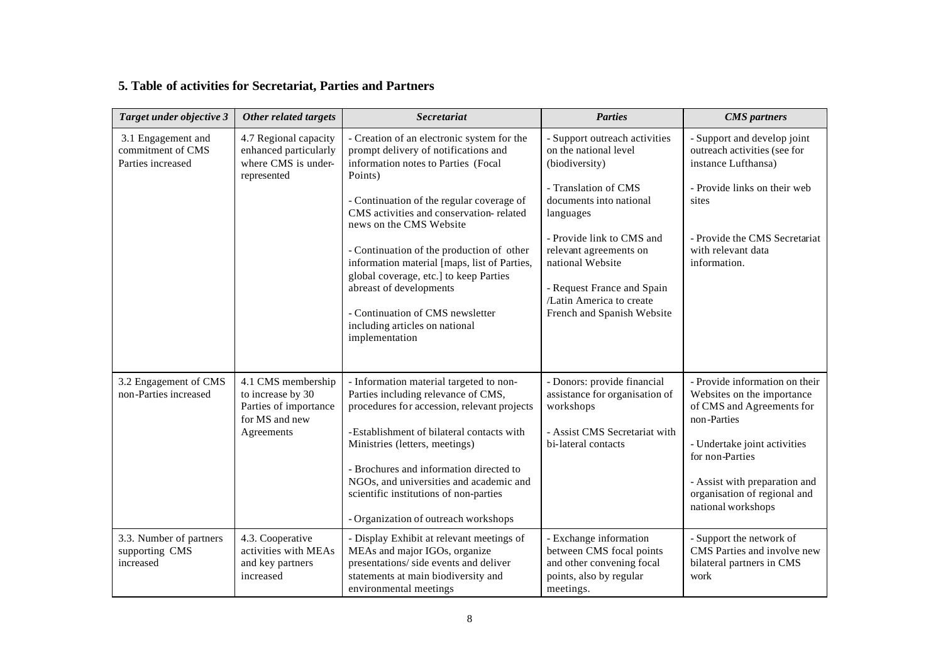# **5. Table of activities for Secretariat, Parties and Partners**

| Target under objective 3                                     | Other related targets                                                                            | <b>Secretariat</b>                                                                                                                                                                                                                                                                                                                                                                                                                                                                                                | <b>Parties</b>                                                                                                                                                                                                                                                                                            | <b>CMS</b> partners                                                                                                                                                                                                                                |
|--------------------------------------------------------------|--------------------------------------------------------------------------------------------------|-------------------------------------------------------------------------------------------------------------------------------------------------------------------------------------------------------------------------------------------------------------------------------------------------------------------------------------------------------------------------------------------------------------------------------------------------------------------------------------------------------------------|-----------------------------------------------------------------------------------------------------------------------------------------------------------------------------------------------------------------------------------------------------------------------------------------------------------|----------------------------------------------------------------------------------------------------------------------------------------------------------------------------------------------------------------------------------------------------|
| 3.1 Engagement and<br>commitment of CMS<br>Parties increased | 4.7 Regional capacity<br>enhanced particularly<br>where CMS is under-<br>represented             | - Creation of an electronic system for the<br>prompt delivery of notifications and<br>information notes to Parties (Focal<br>Points)<br>- Continuation of the regular coverage of<br>CMS activities and conservation-related<br>news on the CMS Website<br>- Continuation of the production of other<br>information material [maps, list of Parties,<br>global coverage, etc.] to keep Parties<br>abreast of developments<br>- Continuation of CMS newsletter<br>including articles on national<br>implementation | Support outreach activities<br>on the national level<br>(biodiversity)<br>- Translation of CMS<br>documents into national<br>languages<br>- Provide link to CMS and<br>relevant agreements on<br>national Website<br>- Request France and Spain<br>/Latin America to create<br>French and Spanish Website | - Support and develop joint<br>outreach activities (see for<br>instance Lufthansa)<br>- Provide links on their web<br>sites<br>- Provide the CMS Secretariat<br>with relevant data<br>information.                                                 |
| 3.2 Engagement of CMS<br>non-Parties increased               | 4.1 CMS membership<br>to increase by 30<br>Parties of importance<br>for MS and new<br>Agreements | - Information material targeted to non-<br>Parties including relevance of CMS,<br>procedures for accession, relevant projects<br>-Establishment of bilateral contacts with<br>Ministries (letters, meetings)<br>- Brochures and information directed to<br>NGOs, and universities and academic and<br>scientific institutions of non-parties<br>- Organization of outreach workshops                                                                                                                              | - Donors: provide financial<br>assistance for organisation of<br>workshops<br>- Assist CMS Secretariat with<br>bi-lateral contacts                                                                                                                                                                        | - Provide information on their<br>Websites on the importance<br>of CMS and Agreements for<br>non-Parties<br>- Undertake joint activities<br>for non-Parties<br>- Assist with preparation and<br>organisation of regional and<br>national workshops |
| 3.3. Number of partners<br>supporting CMS<br>increased       | 4.3. Cooperative<br>activities with MEAs<br>and key partners<br>increased                        | - Display Exhibit at relevant meetings of<br>MEAs and major IGOs, organize<br>presentations/ side events and deliver<br>statements at main biodiversity and<br>environmental meetings                                                                                                                                                                                                                                                                                                                             | - Exchange information<br>between CMS focal points<br>and other convening focal<br>points, also by regular<br>meetings.                                                                                                                                                                                   | - Support the network of<br>CMS Parties and involve new<br>bilateral partners in CMS<br>work                                                                                                                                                       |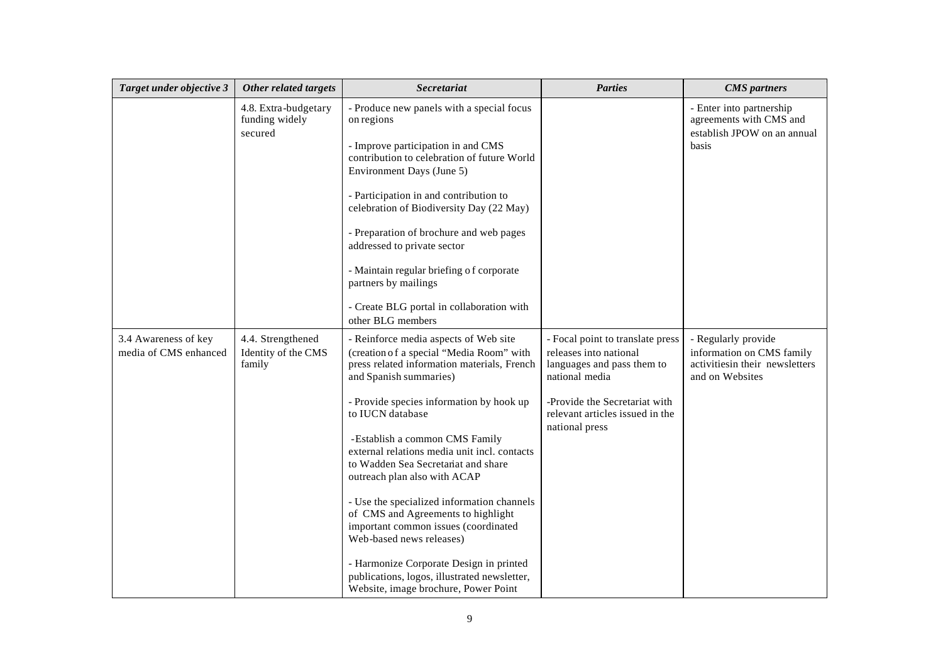| Target under objective 3                      | Other related targets                              | Secretariat                                                                                                                                                                                                                                                                                                                                                                                                                                                                                                                                                                                                                                                                    | <b>Parties</b>                                                                                                                                                                                   | <b>CMS</b> partners                                                                                   |
|-----------------------------------------------|----------------------------------------------------|--------------------------------------------------------------------------------------------------------------------------------------------------------------------------------------------------------------------------------------------------------------------------------------------------------------------------------------------------------------------------------------------------------------------------------------------------------------------------------------------------------------------------------------------------------------------------------------------------------------------------------------------------------------------------------|--------------------------------------------------------------------------------------------------------------------------------------------------------------------------------------------------|-------------------------------------------------------------------------------------------------------|
|                                               | 4.8. Extra-budgetary<br>funding widely<br>secured  | - Produce new panels with a special focus<br>on regions<br>- Improve participation in and CMS<br>contribution to celebration of future World<br>Environment Days (June 5)<br>- Participation in and contribution to<br>celebration of Biodiversity Day (22 May)<br>- Preparation of brochure and web pages<br>addressed to private sector<br>- Maintain regular briefing of corporate<br>partners by mailings<br>- Create BLG portal in collaboration with<br>other BLG members                                                                                                                                                                                                |                                                                                                                                                                                                  | - Enter into partnership<br>agreements with CMS and<br>establish JPOW on an annual<br>basis           |
| 3.4 Awareness of key<br>media of CMS enhanced | 4.4. Strengthened<br>Identity of the CMS<br>family | - Reinforce media aspects of Web site<br>(creation of a special "Media Room" with<br>press related information materials, French<br>and Spanish summaries)<br>- Provide species information by hook up<br>to IUCN database<br>-Establish a common CMS Family<br>external relations media unit incl. contacts<br>to Wadden Sea Secretariat and share<br>outreach plan also with ACAP<br>- Use the specialized information channels<br>of CMS and Agreements to highlight<br>important common issues (coordinated<br>Web-based news releases)<br>- Harmonize Corporate Design in printed<br>publications, logos, illustrated newsletter,<br>Website, image brochure, Power Point | - Focal point to translate press<br>releases into national<br>languages and pass them to<br>national media<br>-Provide the Secretariat with<br>relevant articles issued in the<br>national press | - Regularly provide<br>information on CMS family<br>activitiesin their newsletters<br>and on Websites |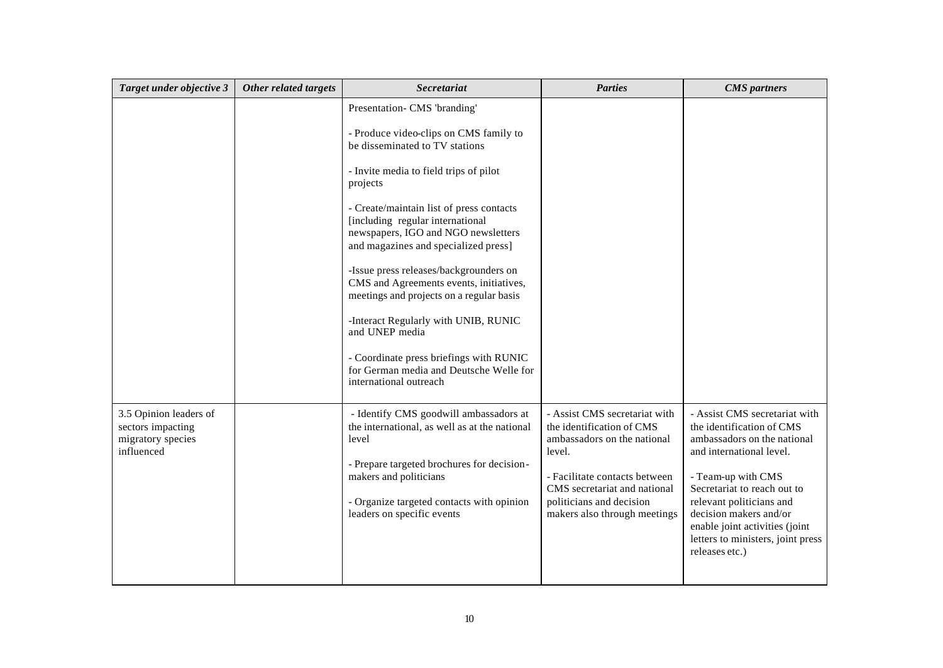| Target under objective 3                                                       | Other related targets | Secretariat                                                                                                                                                                                                                                                                                                                                                                                                                                                                                                                                                                                                                              | <b>Parties</b>                                                                                                                                                                                                                   | <b>CMS</b> partners                                                                                                                                                                                                                                                                                                       |
|--------------------------------------------------------------------------------|-----------------------|------------------------------------------------------------------------------------------------------------------------------------------------------------------------------------------------------------------------------------------------------------------------------------------------------------------------------------------------------------------------------------------------------------------------------------------------------------------------------------------------------------------------------------------------------------------------------------------------------------------------------------------|----------------------------------------------------------------------------------------------------------------------------------------------------------------------------------------------------------------------------------|---------------------------------------------------------------------------------------------------------------------------------------------------------------------------------------------------------------------------------------------------------------------------------------------------------------------------|
|                                                                                |                       | Presentation- CMS 'branding'<br>- Produce video-clips on CMS family to<br>be disseminated to TV stations<br>- Invite media to field trips of pilot<br>projects<br>- Create/maintain list of press contacts<br>[including regular international<br>newspapers, IGO and NGO newsletters<br>and magazines and specialized press]<br>-Issue press releases/backgrounders on<br>CMS and Agreements events, initiatives,<br>meetings and projects on a regular basis<br>-Interact Regularly with UNIB, RUNIC<br>and UNEP media<br>- Coordinate press briefings with RUNIC<br>for German media and Deutsche Welle for<br>international outreach |                                                                                                                                                                                                                                  |                                                                                                                                                                                                                                                                                                                           |
| 3.5 Opinion leaders of<br>sectors impacting<br>migratory species<br>influenced |                       | - Identify CMS goodwill ambassadors at<br>the international, as well as at the national<br>level<br>- Prepare targeted brochures for decision-<br>makers and politicians<br>- Organize targeted contacts with opinion<br>leaders on specific events                                                                                                                                                                                                                                                                                                                                                                                      | - Assist CMS secretariat with<br>the identification of CMS<br>ambassadors on the national<br>level.<br>- Facilitate contacts between<br>CMS secretariat and national<br>politicians and decision<br>makers also through meetings | - Assist CMS secretariat with<br>the identification of CMS<br>ambassadors on the national<br>and international level.<br>- Team-up with CMS<br>Secretariat to reach out to<br>relevant politicians and<br>decision makers and/or<br>enable joint activities (joint<br>letters to ministers, joint press<br>releases etc.) |